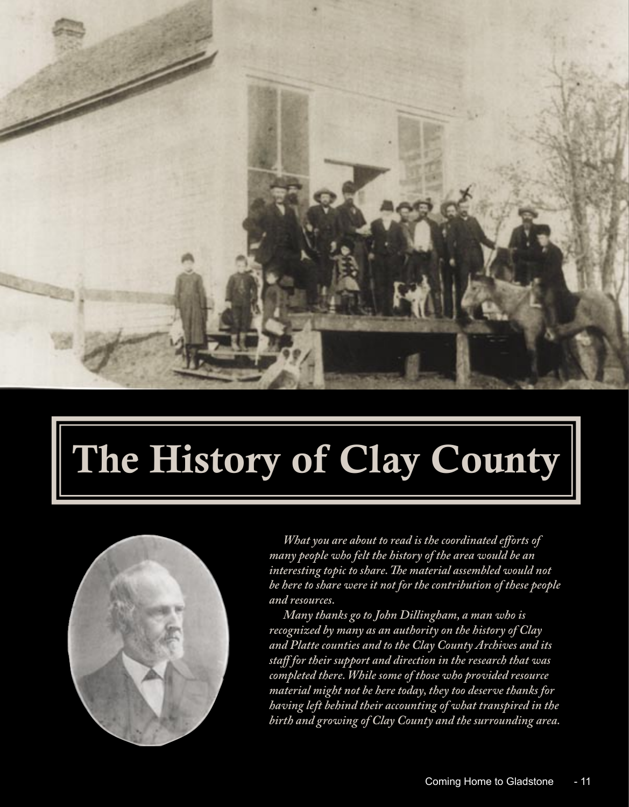

# The History of Clay County



*What you are about to read is the coordinated efforts of many people who felt the history of the area would be an*  interesting topic to share. The material assembled would not *be here to share were it not for the contribution of these people and resources.* 

*Many thanks go to John Dillingham, a man who is recognized by many as an authority on the history of Clay and Platte counties and to the Clay County Archives and its staff for their support and direction in the research that was completed there. While some of those who provided resource material might not be here today, they too deserve thanks for having left behind their accounting of what transpired in the birth and growing of Clay County and the surrounding area.*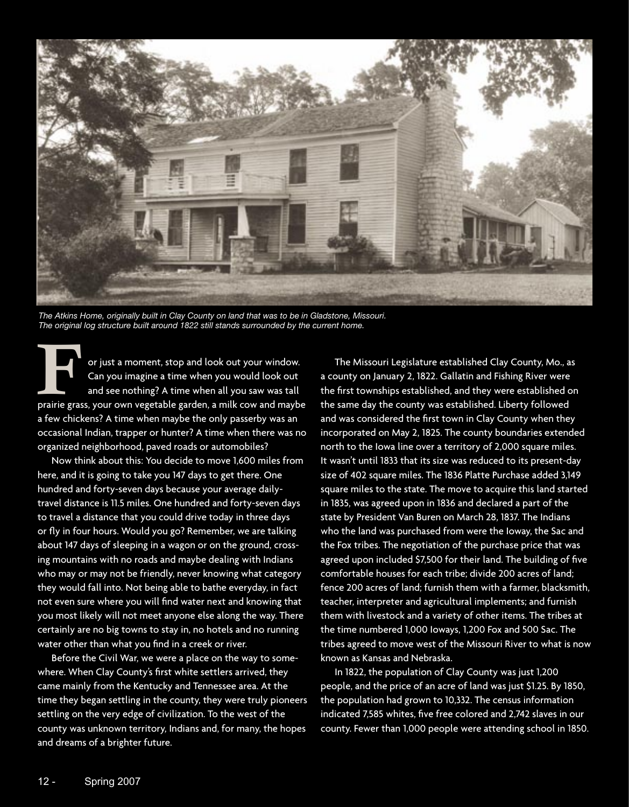

*The Atkins Home, originally built in Clay County on land that was to be in Gladstone, Missouri. The original log structure built around 1822 still stands surrounded by the current home.*

For just a moment, stop and look out your window.<br>
Can you imagine a time when you would look out<br>
and see nothing? A time when all you saw was tall<br>
prairie grass, your own vegetable garden, a milk cow and maybe Can you imagine a time when you would look out and see nothing? A time when all you saw was tall a few chickens? A time when maybe the only passerby was an occasional Indian, trapper or hunter? A time when there was no organized neighborhood, paved roads or automobiles?

Now think about this: You decide to move 1,600 miles from here, and it is going to take you 147 days to get there. One hundred and forty-seven days because your average dailytravel distance is 11.5 miles. One hundred and forty-seven days to travel a distance that you could drive today in three days or fly in four hours. Would you go? Remember, we are talking about 147 days of sleeping in a wagon or on the ground, crossing mountains with no roads and maybe dealing with Indians who may or may not be friendly, never knowing what category they would fall into. Not being able to bathe everyday, in fact not even sure where you will find water next and knowing that you most likely will not meet anyone else along the way. There certainly are no big towns to stay in, no hotels and no running water other than what you find in a creek or river.

Before the Civil War, we were a place on the way to somewhere. When Clay County's first white settlers arrived, they came mainly from the Kentucky and Tennessee area. At the time they began settling in the county, they were truly pioneers settling on the very edge of civilization. To the west of the county was unknown territory, Indians and, for many, the hopes and dreams of a brighter future.

The Missouri Legislature established Clay County, Mo., as a county on January 2, 1822. Gallatin and Fishing River were the first townships established, and they were established on the same day the county was established. Liberty followed and was considered the first town in Clay County when they incorporated on May 2, 1825. The county boundaries extended north to the Iowa line over a territory of 2,000 square miles. It wasn't until 1833 that its size was reduced to its present-day size of 402 square miles. The 1836 Platte Purchase added 3,149 square miles to the state. The move to acquire this land started in 1835, was agreed upon in 1836 and declared a part of the state by President Van Buren on March 28, 1837. The Indians who the land was purchased from were the Ioway, the Sac and the Fox tribes. The negotiation of the purchase price that was agreed upon included \$7,500 for their land. The building of five comfortable houses for each tribe; divide 200 acres of land; fence 200 acres of land; furnish them with a farmer, blacksmith, teacher, interpreter and agricultural implements; and furnish them with livestock and a variety of other items. The tribes at the time numbered 1,000 Ioways, 1,200 Fox and 500 Sac. The tribes agreed to move west of the Missouri River to what is now known as Kansas and Nebraska.

In 1822, the population of Clay County was just 1,200 people, and the price of an acre of land was just \$1.25. By 1850, the population had grown to 10,332. The census information indicated 7,585 whites, five free colored and 2,742 slaves in our county. Fewer than 1,000 people were attending school in 1850.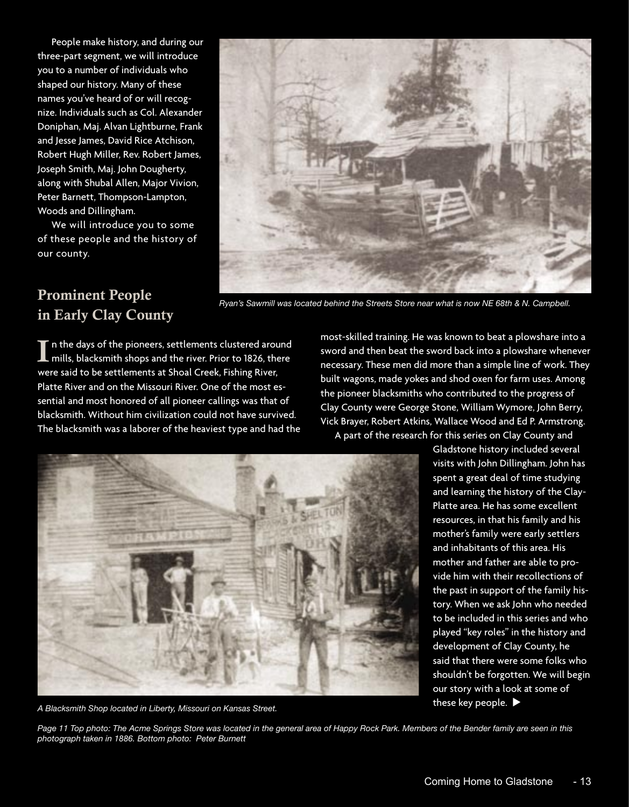People make history, and during our three-part segment, we will introduce you to a number of individuals who shaped our history. Many of these names you've heard of or will recognize. Individuals such as Col. Alexander Doniphan, Maj. Alvan Lightburne, Frank and Jesse James, David Rice Atchison, Robert Hugh Miller, Rev. Robert James, Joseph Smith, Maj. John Dougherty, along with Shubal Allen, Major Vivion, Peter Barnett, Thompson-Lampton, Woods and Dillingham.

We will introduce you to some of these people and the history of our county.

### Prominent People in Early Clay County



*Ryan's Sawmill was located behind the Streets Store near what is now NE 68th & N. Campbell.*

 $\prod$ n the days of the pioneers, settlements clustered around<br>I mills, blacksmith shops and the river. Prior to 1826, there were said to be settlements at Shoal Creek, Fishing River, Platte River and on the Missouri River. One of the most essential and most honored of all pioneer callings was that of blacksmith. Without him civilization could not have survived. The blacksmith was a laborer of the heaviest type and had the most-skilled training. He was known to beat a plowshare into a sword and then beat the sword back into a plowshare whenever necessary. These men did more than a simple line of work. They built wagons, made yokes and shod oxen for farm uses. Among the pioneer blacksmiths who contributed to the progress of Clay County were George Stone, William Wymore, John Berry, Vick Brayer, Robert Atkins, Wallace Wood and Ed P. Armstrong. A part of the research for this series on Clay County and



*A Blacksmith Shop located in Liberty, Missouri on Kansas Street.*

Gladstone history included several visits with John Dillingham. John has spent a great deal of time studying and learning the history of the Clay-Platte area. He has some excellent resources, in that his family and his mother's family were early settlers and inhabitants of this area. His mother and father are able to provide him with their recollections of the past in support of the family history. When we ask John who needed to be included in this series and who played "key roles" in the history and development of Clay County, he said that there were some folks who shouldn't be forgotten. We will begin our story with a look at some of these key people.  $\blacktriangleright$ 

*Page 11 Top photo: The Acme Springs Store was located in the general area of Happy Rock Park. Members of the Bender family are seen in this photograph taken in 1886. Bottom photo: Peter Burnett*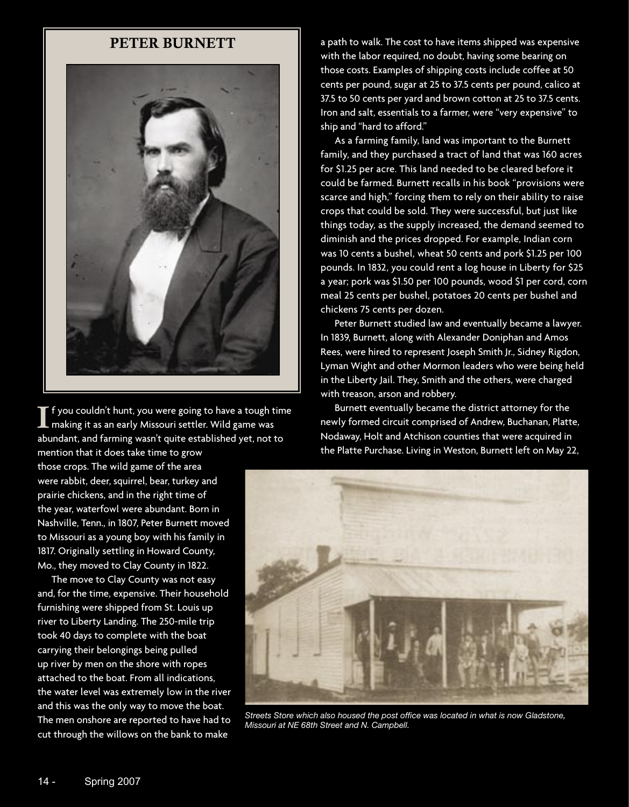#### PETER BURNETT



f you couldn't hunt, you were going to have a tough time  $\blacksquare$  making it as an early Missouri settler. Wild game was abundant, and farming wasn't quite established yet, not to

mention that it does take time to grow those crops. The wild game of the area were rabbit, deer, squirrel, bear, turkey and prairie chickens, and in the right time of the year, waterfowl were abundant. Born in Nashville, Tenn., in 1807, Peter Burnett moved to Missouri as a young boy with his family in 1817. Originally settling in Howard County, Mo., they moved to Clay County in 1822.

The move to Clay County was not easy and, for the time, expensive. Their household furnishing were shipped from St. Louis up river to Liberty Landing. The 250-mile trip took 40 days to complete with the boat carrying their belongings being pulled up river by men on the shore with ropes attached to the boat. From all indications, the water level was extremely low in the river and this was the only way to move the boat. The men onshore are reported to have had to cut through the willows on the bank to make

a path to walk. The cost to have items shipped was expensive with the labor required, no doubt, having some bearing on those costs. Examples of shipping costs include coffee at 50 cents per pound, sugar at 25 to 37.5 cents per pound, calico at 37.5 to 50 cents per yard and brown cotton at 25 to 37.5 cents. Iron and salt, essentials to a farmer, were "very expensive" to ship and "hard to afford."

As a farming family, land was important to the Burnett family, and they purchased a tract of land that was 160 acres for \$1.25 per acre. This land needed to be cleared before it could be farmed. Burnett recalls in his book "provisions were scarce and high," forcing them to rely on their ability to raise crops that could be sold. They were successful, but just like things today, as the supply increased, the demand seemed to diminish and the prices dropped. For example, Indian corn was 10 cents a bushel, wheat 50 cents and pork \$1.25 per 100 pounds. In 1832, you could rent a log house in Liberty for \$25 a year; pork was \$1.50 per 100 pounds, wood \$1 per cord, corn meal 25 cents per bushel, potatoes 20 cents per bushel and chickens 75 cents per dozen.

Peter Burnett studied law and eventually became a lawyer. In 1839, Burnett, along with Alexander Doniphan and Amos Rees, were hired to represent Joseph Smith Jr., Sidney Rigdon, Lyman Wight and other Mormon leaders who were being held in the Liberty Jail. They, Smith and the others, were charged with treason, arson and robbery.

Burnett eventually became the district attorney for the newly formed circuit comprised of Andrew, Buchanan, Platte, Nodaway, Holt and Atchison counties that were acquired in the Platte Purchase. Living in Weston, Burnett left on May 22,



*Streets Store which also housed the post office was located in what is now Gladstone, Missouri at NE 68th Street and N. Campbell.*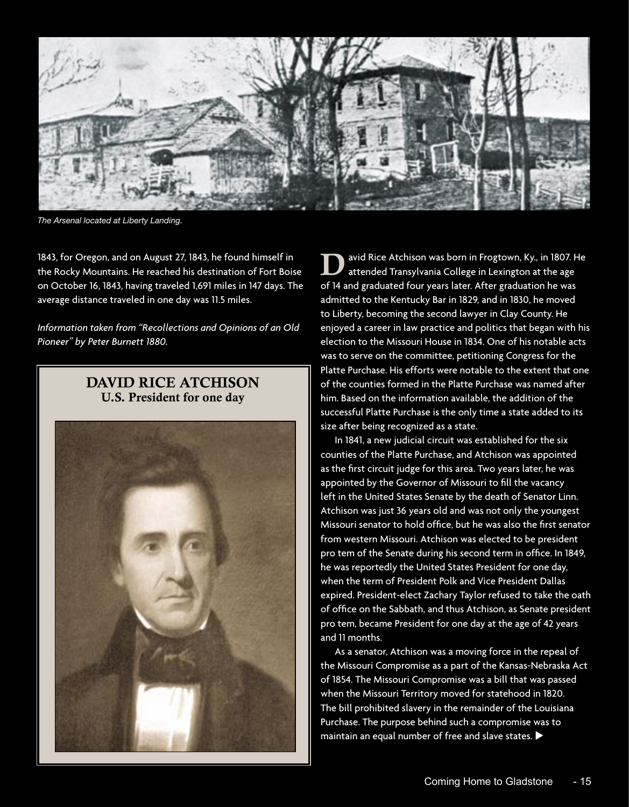

*The Arsenal located at Liberty Landing.*

1843, for Oregon, and on August 27, 1843, he found himself in the Rocky Mountains. He reached his destination of Fort Boise on October 16, 1843, having traveled 1,691 miles in 147 days. The average distance traveled in one day was 11.5 miles.

*Information taken from "Recollections and Opinions of an Old Pioneer" by Peter Burnett 1880.*

#### DAVID RICE ATCHISON U.S. President for one day



avid Rice Atchison was born in Frogtown, Ky., in 1807. He attended Transylvania College in Lexington at the age of 14 and graduated four years later. After graduation he was admitted to the Kentucky Bar in 1829, and in 1830, he moved to Liberty, becoming the second lawyer in Clay County. He enjoyed a career in law practice and politics that began with his election to the Missouri House in 1834. One of his notable acts was to serve on the committee, petitioning Congress for the Platte Purchase. His efforts were notable to the extent that one of the counties formed in the Platte Purchase was named after him. Based on the information available, the addition of the successful Platte Purchase is the only time a state added to its size after being recognized as a state.

In 1841, a new judicial circuit was established for the six counties of the Platte Purchase, and Atchison was appointed as the first circuit judge for this area. Two years later, he was appointed by the Governor of Missouri to fill the vacancy left in the United States Senate by the death of Senator Linn. Atchison was just 36 years old and was not only the youngest Missouri senator to hold office, but he was also the first senator from western Missouri. Atchison was elected to be president pro tem of the Senate during his second term in office. In 1849, he was reportedly the United States President for one day, when the term of President Polk and Vice President Dallas expired. President-elect Zachary Taylor refused to take the oath of office on the Sabbath, and thus Atchison, as Senate president pro tem, became President for one day at the age of 42 years and 11 months.

As a senator, Atchison was a moving force in the repeal of the Missouri Compromise as a part of the Kansas-Nebraska Act of 1854. The Missouri Compromise was a bill that was passed when the Missouri Territory moved for statehood in 1820. The bill prohibited slavery in the remainder of the Louisiana Purchase. The purpose behind such a compromise was to maintain an equal number of free and slave states.  $\blacktriangleright$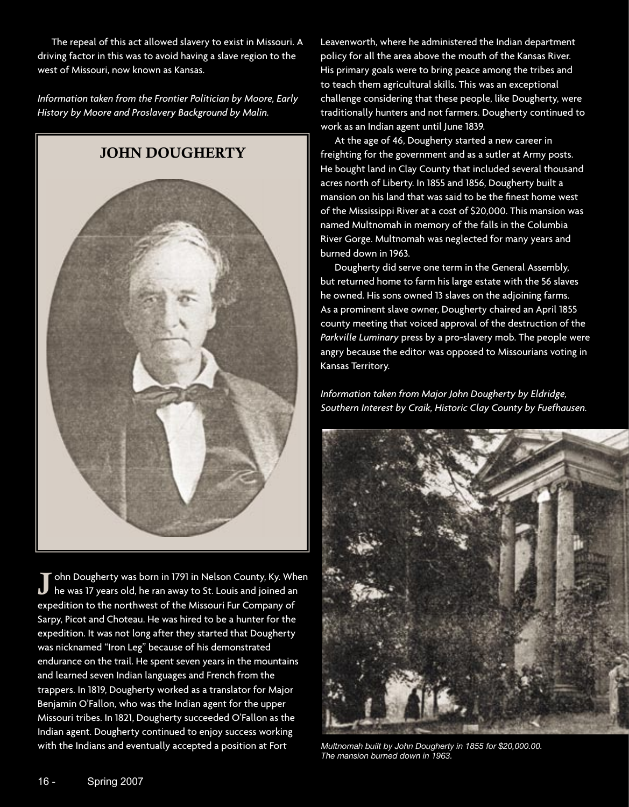The repeal of this act allowed slavery to exist in Missouri. A driving factor in this was to avoid having a slave region to the west of Missouri, now known as Kansas.

*Information taken from the Frontier Politician by Moore, Early History by Moore and Proslavery Background by Malin.*

#### JOHN DOUGHERTY



ohn Dougherty was born in 1791 in Nelson County, Ky. When he was 17 years old, he ran away to St. Louis and joined an expedition to the northwest of the Missouri Fur Company of Sarpy, Picot and Choteau. He was hired to be a hunter for the expedition. It was not long after they started that Dougherty was nicknamed "Iron Leg" because of his demonstrated endurance on the trail. He spent seven years in the mountains and learned seven Indian languages and French from the trappers. In 1819, Dougherty worked as a translator for Major Benjamin O'Fallon, who was the Indian agent for the upper Missouri tribes. In 1821, Dougherty succeeded O'Fallon as the Indian agent. Dougherty continued to enjoy success working with the Indians and eventually accepted a position at Fort

Leavenworth, where he administered the Indian department policy for all the area above the mouth of the Kansas River. His primary goals were to bring peace among the tribes and to teach them agricultural skills. This was an exceptional challenge considering that these people, like Dougherty, were traditionally hunters and not farmers. Dougherty continued to work as an Indian agent until June 1839.

At the age of 46, Dougherty started a new career in freighting for the government and as a sutler at Army posts. He bought land in Clay County that included several thousand acres north of Liberty. In 1855 and 1856, Dougherty built a mansion on his land that was said to be the finest home west of the Mississippi River at a cost of \$20,000. This mansion was named Multnomah in memory of the falls in the Columbia River Gorge. Multnomah was neglected for many years and burned down in 1963.

Dougherty did serve one term in the General Assembly, but returned home to farm his large estate with the 56 slaves he owned. His sons owned 13 slaves on the adjoining farms. As a prominent slave owner, Dougherty chaired an April 1855 county meeting that voiced approval of the destruction of the *Parkville Luminary* press by a pro-slavery mob. The people were angry because the editor was opposed to Missourians voting in Kansas Territory.

*Information taken from Major John Dougherty by Eldridge, Southern Interest by Craik, Historic Clay County by Fuefhausen.*



*Multnomah built by John Dougherty in 1855 for \$20,000.00. The mansion burned down in 1963.*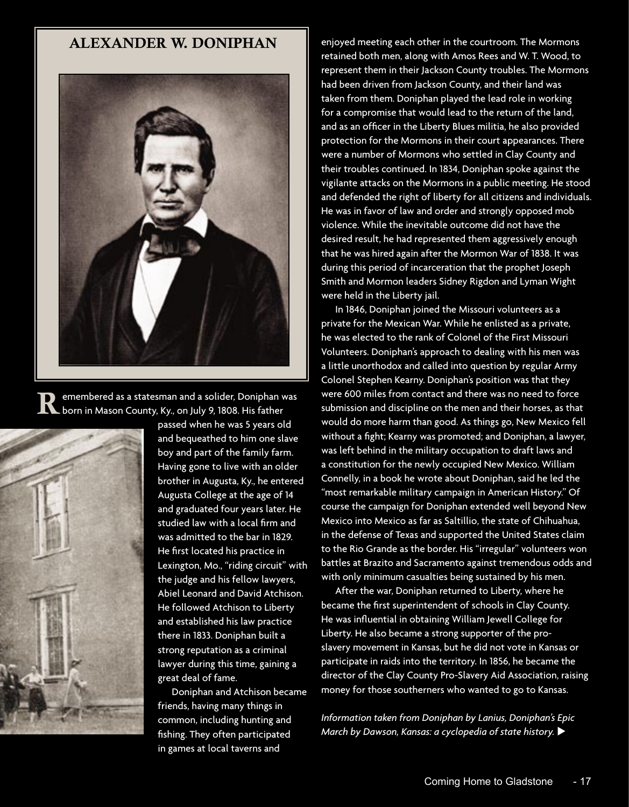#### ALEXANDER W. DONIPHAN



emembered as a statesman and a solider, Doniphan was born in Mason County, Ky., on July 9, 1808. His father



passed when he was 5 years old and bequeathed to him one slave boy and part of the family farm. Having gone to live with an older brother in Augusta, Ky., he entered Augusta College at the age of 14 and graduated four years later. He studied law with a local firm and was admitted to the bar in 1829. He first located his practice in Lexington, Mo., "riding circuit" with the judge and his fellow lawyers, Abiel Leonard and David Atchison. He followed Atchison to Liberty and established his law practice there in 1833. Doniphan built a strong reputation as a criminal lawyer during this time, gaining a great deal of fame.

Doniphan and Atchison became friends, having many things in common, including hunting and fishing. They often participated in games at local taverns and

enjoyed meeting each other in the courtroom. The Mormons retained both men, along with Amos Rees and W. T. Wood, to represent them in their Jackson County troubles. The Mormons had been driven from Jackson County, and their land was taken from them. Doniphan played the lead role in working for a compromise that would lead to the return of the land, and as an officer in the Liberty Blues militia, he also provided protection for the Mormons in their court appearances. There were a number of Mormons who settled in Clay County and their troubles continued. In 1834, Doniphan spoke against the vigilante attacks on the Mormons in a public meeting. He stood and defended the right of liberty for all citizens and individuals. He was in favor of law and order and strongly opposed mob violence. While the inevitable outcome did not have the desired result, he had represented them aggressively enough that he was hired again after the Mormon War of 1838. It was during this period of incarceration that the prophet Joseph Smith and Mormon leaders Sidney Rigdon and Lyman Wight were held in the Liberty jail.

In 1846, Doniphan joined the Missouri volunteers as a private for the Mexican War. While he enlisted as a private, he was elected to the rank of Colonel of the First Missouri Volunteers. Doniphan's approach to dealing with his men was a little unorthodox and called into question by regular Army Colonel Stephen Kearny. Doniphan's position was that they were 600 miles from contact and there was no need to force submission and discipline on the men and their horses, as that would do more harm than good. As things go, New Mexico fell without a fight; Kearny was promoted; and Doniphan, a lawyer, was left behind in the military occupation to draft laws and a constitution for the newly occupied New Mexico. William Connelly, in a book he wrote about Doniphan, said he led the "most remarkable military campaign in American History." Of course the campaign for Doniphan extended well beyond New Mexico into Mexico as far as Saltillio, the state of Chihuahua, in the defense of Texas and supported the United States claim to the Rio Grande as the border. His "irregular" volunteers won battles at Brazito and Sacramento against tremendous odds and with only minimum casualties being sustained by his men.

After the war, Doniphan returned to Liberty, where he became the first superintendent of schools in Clay County. He was influential in obtaining William Jewell College for Liberty. He also became a strong supporter of the proslavery movement in Kansas, but he did not vote in Kansas or participate in raids into the territory. In 1856, he became the director of the Clay County Pro-Slavery Aid Association, raising money for those southerners who wanted to go to Kansas.

*Information taken from Doniphan by Lanius, Doniphan's Epic March by Dawson, Kansas: a cyclopedia of state history.*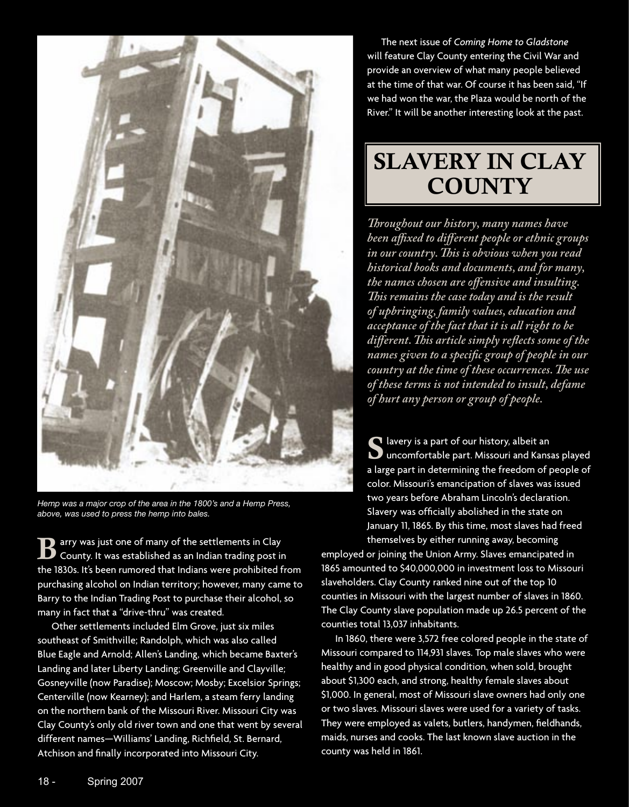

*Hemp was a major crop of the area in the 1800's and a Hemp Press, above, was used to press the hemp into bales.*

 $\mathbf B$  arry was just one of many of the settlements in Clay<br> $\mathbf B$  County. It was established as an Indian trading post in the 1830s. It's been rumored that Indians were prohibited from purchasing alcohol on Indian territory; however, many came to Barry to the Indian Trading Post to purchase their alcohol, so many in fact that a "drive-thru" was created.

Other settlements included Elm Grove, just six miles southeast of Smithville; Randolph, which was also called Blue Eagle and Arnold; Allen's Landing, which became Baxter's Landing and later Liberty Landing; Greenville and Clayville; Gosneyville (now Paradise); Moscow; Mosby; Excelsior Springs; Centerville (now Kearney); and Harlem, a steam ferry landing on the northern bank of the Missouri River. Missouri City was Clay County's only old river town and one that went by several different names—Williams' Landing, Richfield, St. Bernard, Atchison and finally incorporated into Missouri City.

The next issue of *Coming Home to Gladstone*  will feature Clay County entering the Civil War and provide an overview of what many people believed at the time of that war. Of course it has been said, "If we had won the war, the Plaza would be north of the River." It will be another interesting look at the past.

## SLAVERY IN CLAY **COUNTY**

*Throughout our history, many names have been affixed to different people or ethnic groups in our country. This is obvious when you read historical books and documents, and for many, the names chosen are offensive and insulting. This remains the case today and is the result of upbringing, family values, education and acceptance of the fact that it is all right to be different. This article simply reflects some of the names given to a specific group of people in our country at the time of these occurrences. The use of these terms is not intended to insult, defame of hurt any person or group of people.*

**C** lavery is a part of our history, albeit an **U** uncomfortable part. Missouri and Kansas played a large part in determining the freedom of people of color. Missouri's emancipation of slaves was issued two years before Abraham Lincoln's declaration. Slavery was officially abolished in the state on January 11, 1865. By this time, most slaves had freed themselves by either running away, becoming

employed or joining the Union Army. Slaves emancipated in 1865 amounted to \$40,000,000 in investment loss to Missouri slaveholders. Clay County ranked nine out of the top 10 counties in Missouri with the largest number of slaves in 1860. The Clay County slave population made up 26.5 percent of the counties total 13,037 inhabitants.

In 1860, there were 3,572 free colored people in the state of Missouri compared to 114,931 slaves. Top male slaves who were healthy and in good physical condition, when sold, brought about \$1,300 each, and strong, healthy female slaves about \$1,000. In general, most of Missouri slave owners had only one or two slaves. Missouri slaves were used for a variety of tasks. They were employed as valets, butlers, handymen, fieldhands, maids, nurses and cooks. The last known slave auction in the county was held in 1861.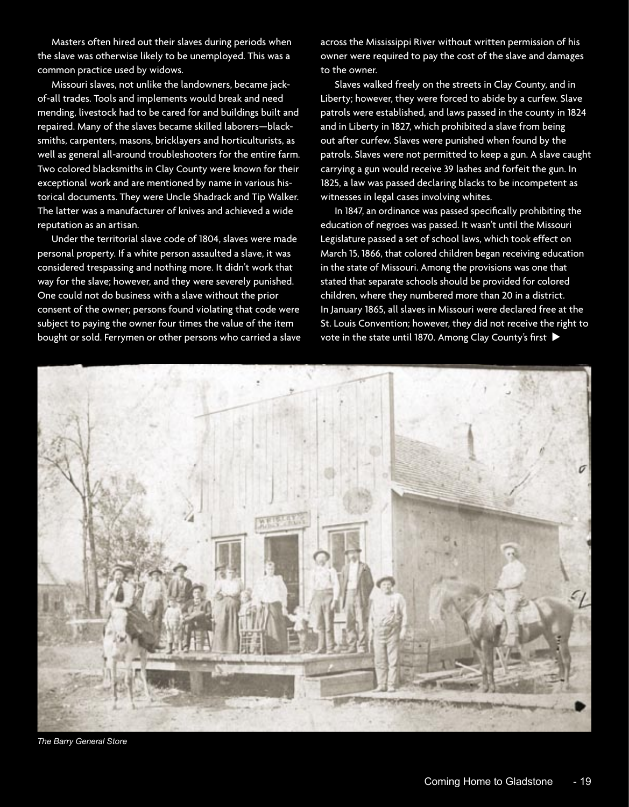Masters often hired out their slaves during periods when the slave was otherwise likely to be unemployed. This was a common practice used by widows.

Missouri slaves, not unlike the landowners, became jackof-all trades. Tools and implements would break and need mending, livestock had to be cared for and buildings built and repaired. Many of the slaves became skilled laborers—blacksmiths, carpenters, masons, bricklayers and horticulturists, as well as general all-around troubleshooters for the entire farm. Two colored blacksmiths in Clay County were known for their exceptional work and are mentioned by name in various historical documents. They were Uncle Shadrack and Tip Walker. The latter was a manufacturer of knives and achieved a wide reputation as an artisan.

Under the territorial slave code of 1804, slaves were made personal property. If a white person assaulted a slave, it was considered trespassing and nothing more. It didn't work that way for the slave; however, and they were severely punished. One could not do business with a slave without the prior consent of the owner; persons found violating that code were subject to paying the owner four times the value of the item bought or sold. Ferrymen or other persons who carried a slave across the Mississippi River without written permission of his owner were required to pay the cost of the slave and damages to the owner.

Slaves walked freely on the streets in Clay County, and in Liberty; however, they were forced to abide by a curfew. Slave patrols were established, and laws passed in the county in 1824 and in Liberty in 1827, which prohibited a slave from being out after curfew. Slaves were punished when found by the patrols. Slaves were not permitted to keep a gun. A slave caught carrying a gun would receive 39 lashes and forfeit the gun. In 1825, a law was passed declaring blacks to be incompetent as witnesses in legal cases involving whites.

In 1847, an ordinance was passed specifically prohibiting the education of negroes was passed. It wasn't until the Missouri Legislature passed a set of school laws, which took effect on March 15, 1866, that colored children began receiving education in the state of Missouri. Among the provisions was one that stated that separate schools should be provided for colored children, where they numbered more than 20 in a district. In January 1865, all slaves in Missouri were declared free at the St. Louis Convention; however, they did not receive the right to vote in the state until 1870. Among Clay County's first  $\blacktriangleright$ 



*The Barry General Store*